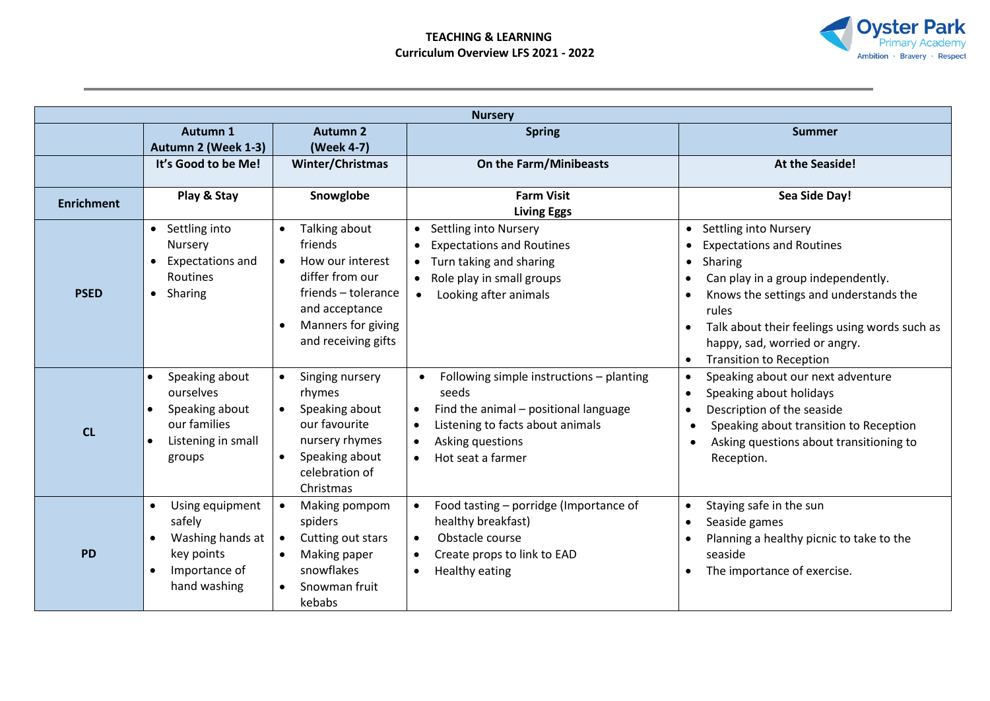

| <b>Nursery</b>    |                                                                                                                                      |                                                                                                                                                                                 |                                                                                                                                                                                                   |                                                                                                                                                                                                                                                                                                                                 |  |  |
|-------------------|--------------------------------------------------------------------------------------------------------------------------------------|---------------------------------------------------------------------------------------------------------------------------------------------------------------------------------|---------------------------------------------------------------------------------------------------------------------------------------------------------------------------------------------------|---------------------------------------------------------------------------------------------------------------------------------------------------------------------------------------------------------------------------------------------------------------------------------------------------------------------------------|--|--|
|                   | Autumn 1<br>Autumn 2 (Week 1-3)                                                                                                      | <b>Autumn 2</b><br>(Week 4-7)                                                                                                                                                   | <b>Spring</b>                                                                                                                                                                                     | Summer                                                                                                                                                                                                                                                                                                                          |  |  |
|                   | It's Good to be Me!                                                                                                                  | Winter/Christmas                                                                                                                                                                | On the Farm/Minibeasts                                                                                                                                                                            | At the Seaside!                                                                                                                                                                                                                                                                                                                 |  |  |
| <b>Enrichment</b> | Play & Stay                                                                                                                          | Snowglobe                                                                                                                                                                       | <b>Farm Visit</b><br><b>Living Eggs</b>                                                                                                                                                           | Sea Side Day!                                                                                                                                                                                                                                                                                                                   |  |  |
| <b>PSED</b>       | • Settling into<br>Nursery<br>Expectations and<br><b>Routines</b><br>Sharing<br>$\bullet$                                            | Talking about<br>friends<br>How our interest<br>$\bullet$<br>differ from our<br>friends - tolerance<br>and acceptance<br>Manners for giving<br>$\bullet$<br>and receiving gifts | Settling into Nursery<br><b>Expectations and Routines</b><br>$\bullet$<br>Turn taking and sharing<br>Role play in small groups<br>$\bullet$<br>Looking after animals                              | <b>Settling into Nursery</b><br>$\bullet$<br><b>Expectations and Routines</b><br>Sharing<br>$\bullet$<br>Can play in a group independently.<br>Knows the settings and understands the<br>rules<br>Talk about their feelings using words such as<br>happy, sad, worried or angry.<br><b>Transition to Reception</b><br>$\bullet$ |  |  |
| CL                | Speaking about<br>$\bullet$<br>ourselves<br>Speaking about<br>$\bullet$<br>our families<br>Listening in small<br>$\bullet$<br>groups | Singing nursery<br>$\bullet$<br>rhymes<br>Speaking about<br>$\bullet$<br>our favourite<br>nursery rhymes<br>Speaking about<br>$\bullet$<br>celebration of<br>Christmas          | Following simple instructions - planting<br>seeds<br>Find the animal - positional language<br>Listening to facts about animals<br>$\bullet$<br>Asking questions<br>$\bullet$<br>Hot seat a farmer | Speaking about our next adventure<br>$\bullet$<br>Speaking about holidays<br>$\bullet$<br>Description of the seaside<br>Speaking about transition to Reception<br>Asking questions about transitioning to<br>Reception.                                                                                                         |  |  |
| <b>PD</b>         | Using equipment<br>$\bullet$<br>safely<br>Washing hands at<br>$\bullet$<br>key points<br>Importance of<br>$\bullet$<br>hand washing  | Making pompom<br>$\bullet$<br>spiders<br>Cutting out stars<br>$\bullet$<br>Making paper<br>$\bullet$<br>snowflakes<br>Snowman fruit<br>$\bullet$<br>kebabs                      | Food tasting - porridge (Importance of<br>healthy breakfast)<br>Obstacle course<br>$\bullet$<br>Create props to link to EAD<br>Healthy eating<br>$\bullet$                                        | Staying safe in the sun<br>$\bullet$<br>Seaside games<br>Planning a healthy picnic to take to the<br>seaside<br>The importance of exercise.                                                                                                                                                                                     |  |  |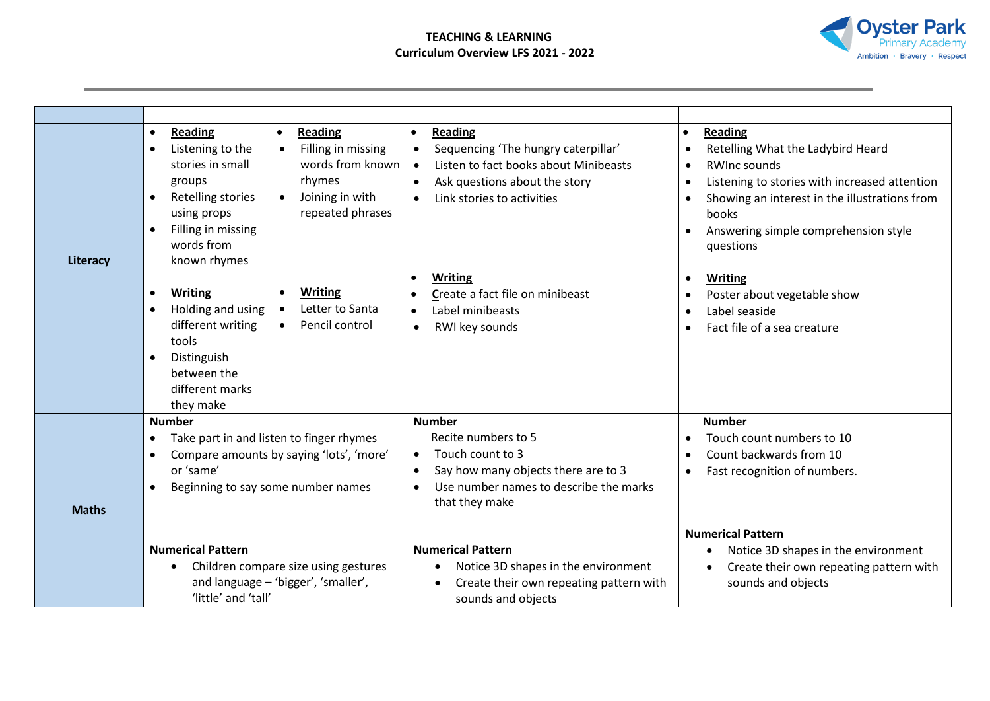

| Literacy     | <b>Reading</b><br>Reading<br>Filling in missing<br>Listening to the<br>$\bullet$<br>$\bullet$<br>words from known<br>stories in small<br>rhymes<br>groups<br>Joining in with<br><b>Retelling stories</b><br>$\bullet$<br>repeated phrases<br>using props<br>Filling in missing<br>words from<br>known rhymes | <b>Reading</b><br>Sequencing 'The hungry caterpillar'<br>$\bullet$<br>Listen to fact books about Minibeasts<br>$\bullet$<br>Ask questions about the story<br>$\bullet$<br>Link stories to activities<br>$\bullet$                                                                                                | Reading<br>$\bullet$<br>Retelling What the Ladybird Heard<br>$\bullet$<br><b>RWInc sounds</b><br>$\bullet$<br>Listening to stories with increased attention<br>$\bullet$<br>Showing an interest in the illustrations from<br>books<br>Answering simple comprehension style<br>questions            |  |
|--------------|--------------------------------------------------------------------------------------------------------------------------------------------------------------------------------------------------------------------------------------------------------------------------------------------------------------|------------------------------------------------------------------------------------------------------------------------------------------------------------------------------------------------------------------------------------------------------------------------------------------------------------------|----------------------------------------------------------------------------------------------------------------------------------------------------------------------------------------------------------------------------------------------------------------------------------------------------|--|
|              | <b>Writing</b><br><b>Writing</b><br>$\bullet$<br>Letter to Santa<br>Holding and using<br>$\bullet$<br>different writing<br>Pencil control<br>$\bullet$<br>tools<br>Distinguish<br>between the<br>different marks<br>they make                                                                                | <b>Writing</b><br>Create a fact file on minibeast<br>Label minibeasts<br>$\bullet$<br>RWI key sounds<br>$\bullet$                                                                                                                                                                                                | Writing<br>$\bullet$<br>Poster about vegetable show<br>Label seaside<br>Fact file of a sea creature                                                                                                                                                                                                |  |
| <b>Maths</b> | <b>Number</b><br>Take part in and listen to finger rhymes<br>$\bullet$<br>Compare amounts by saying 'lots', 'more'<br>$\bullet$<br>or 'same'<br>Beginning to say some number names<br><b>Numerical Pattern</b><br>Children compare size using gestures<br>and language - 'bigger', 'smaller',                | <b>Number</b><br>Recite numbers to 5<br>Touch count to 3<br>$\bullet$<br>Say how many objects there are to 3<br>$\bullet$<br>Use number names to describe the marks<br>$\bullet$<br>that they make<br><b>Numerical Pattern</b><br>Notice 3D shapes in the environment<br>Create their own repeating pattern with | <b>Number</b><br>Touch count numbers to 10<br>$\bullet$<br>Count backwards from 10<br>$\bullet$<br>Fast recognition of numbers.<br>$\bullet$<br><b>Numerical Pattern</b><br>Notice 3D shapes in the environment<br>٠<br>Create their own repeating pattern with<br>$\bullet$<br>sounds and objects |  |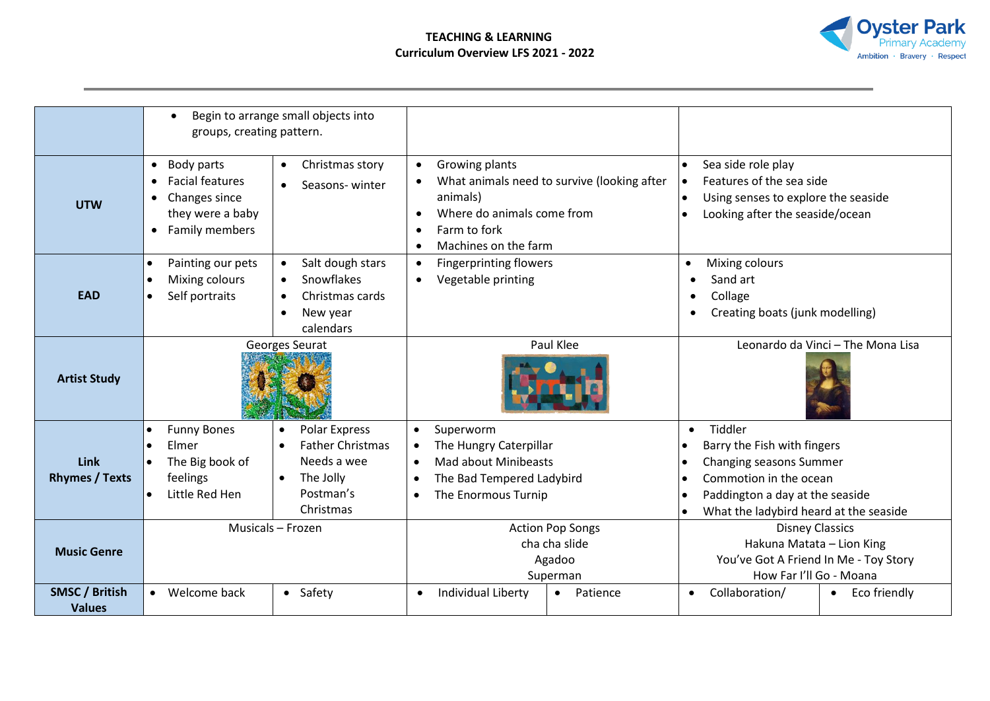

|                                        | $\bullet$<br>groups, creating pattern.                                                                                                          | Begin to arrange small objects into                                                                                            |                                                                                                                                                               |                                                                                                                                                                                                                                                |  |
|----------------------------------------|-------------------------------------------------------------------------------------------------------------------------------------------------|--------------------------------------------------------------------------------------------------------------------------------|---------------------------------------------------------------------------------------------------------------------------------------------------------------|------------------------------------------------------------------------------------------------------------------------------------------------------------------------------------------------------------------------------------------------|--|
| <b>UTW</b>                             | Body parts<br>$\bullet$<br><b>Facial features</b><br>$\bullet$<br>Changes since<br>$\bullet$<br>they were a baby<br>Family members<br>$\bullet$ | Christmas story<br>$\bullet$<br>Seasons-winter<br>$\bullet$                                                                    | Growing plants<br>What animals need to survive (looking after<br>animals)<br>Where do animals come from<br>Farm to fork<br>$\bullet$<br>Machines on the farm  | Sea side role play<br>Features of the sea side<br>Using senses to explore the seaside<br>$\bullet$<br>Looking after the seaside/ocean                                                                                                          |  |
| <b>EAD</b>                             | Painting our pets<br>$\bullet$<br>Mixing colours<br>$\bullet$<br>Self portraits<br>$\bullet$                                                    | Salt dough stars<br>$\bullet$<br>Snowflakes<br>$\bullet$<br>Christmas cards<br>$\bullet$<br>New year<br>$\bullet$<br>calendars | <b>Fingerprinting flowers</b><br>Vegetable printing                                                                                                           | Mixing colours<br>$\bullet$<br>Sand art<br>Collage<br>٠<br>Creating boats (junk modelling)                                                                                                                                                     |  |
| <b>Artist Study</b>                    | Georges Seurat                                                                                                                                  |                                                                                                                                | Paul Klee                                                                                                                                                     | Leonardo da Vinci - The Mona Lisa                                                                                                                                                                                                              |  |
| <b>Link</b><br><b>Rhymes / Texts</b>   | <b>Funny Bones</b><br>$\bullet$<br>Elmer<br>The Big book of<br>$\bullet$<br>feelings<br>Little Red Hen<br>$\bullet$                             | Polar Express<br>$\bullet$<br><b>Father Christmas</b><br>Needs a wee<br>The Jolly<br>$\bullet$<br>Postman's<br>Christmas       | Superworm<br>$\bullet$<br>The Hungry Caterpillar<br><b>Mad about Minibeasts</b><br>$\bullet$<br>The Bad Tempered Ladybird<br>The Enormous Turnip<br>$\bullet$ | Tiddler<br>$\bullet$<br>Barry the Fish with fingers<br>٠<br>Changing seasons Summer<br>$\bullet$<br>Commotion in the ocean<br>$\bullet$<br>Paddington a day at the seaside<br>$\bullet$<br>What the ladybird heard at the seaside<br>$\bullet$ |  |
| <b>Music Genre</b>                     | Musicals - Frozen                                                                                                                               |                                                                                                                                | <b>Action Pop Songs</b><br>cha cha slide<br>Agadoo<br>Superman                                                                                                | <b>Disney Classics</b><br>Hakuna Matata - Lion King<br>You've Got A Friend In Me - Toy Story<br>How Far I'll Go - Moana                                                                                                                        |  |
| <b>SMSC / British</b><br><b>Values</b> | Welcome back<br>$\bullet$                                                                                                                       | • Safety                                                                                                                       | Individual Liberty<br>Patience<br>$\bullet$<br>$\bullet$                                                                                                      | Collaboration/<br>Eco friendly                                                                                                                                                                                                                 |  |